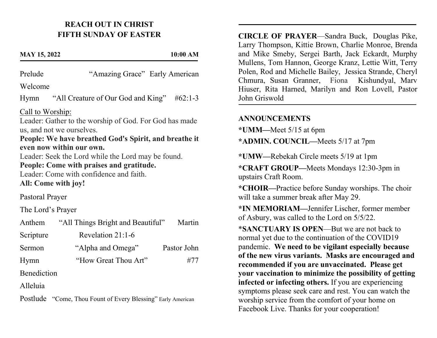## REACH OUT IN CHRIST FIFTH SUNDAY OF EASTER

#### MAY 15, 2022 10:00 AM

Prelude "Amazing Grace" Early American Welcome

Hymn "All Creature of Our God and King" #62:1-3

Call to Worship:

Leader: Gather to the worship of God. For God has made us, and not we ourselves.

People: We have breathed God's Spirit, and breathe it even now within our own.

Leader: Seek the Lord while the Lord may be found. People: Come with praises and gratitude.

Leader: Come with confidence and faith. All: Come with joy!

Pastoral Prayer

The Lord's Prayer

| Anthem      | "All Things Bright and Beautiful" | Martin      |
|-------------|-----------------------------------|-------------|
| Scripture   | Revelation $21:1-6$               |             |
| Sermon      | "Alpha and Omega"                 | Pastor John |
| Hymn        | "How Great Thou Art"              | #77         |
| Benediction |                                   |             |

Alleluia

Postlude "Come, Thou Fount of Every Blessing" Early American

CIRCLE OF PRAYER—Sandra Buck, Douglas Pike, Larry Thompson, Kittie Brown, Charlie Monroe, Brenda and Mike Smeby, Sergei Barth, Jack Eckardt, Murphy Mullens, Tom Hannon, George Kranz, Lettie Witt, Terry Polen, Rod and Michelle Bailey, Jessica Strande, Cheryl Chmura, Susan Granner, Fiona Kishundyal, Marv Hiuser, Rita Harned, Marilyn and Ron Lovell, Pastor John Griswold

### **ANNOUNCEMENTS**

—<br>—

\*UMM—Meet 5/15 at 6pm

\*ADMIN. COUNCIL—Meets 5/17 at 7pm

\*UMW—Rebekah Circle meets 5/19 at 1pm

\*CRAFT GROUP—Meets Mondays 12:30-3pm in upstairs Craft Room.

\*CHOIR—Practice before Sunday worships. The choir will take a summer break after May 29.

\*IN MEMORIAM—Jennifer Lischer, former member of Asbury, was called to the Lord on 5/5/22.

\*SANCTUARY IS OPEN—But we are not back to normal yet due to the continuation of the COVID19 pandemic. We need to be vigilant especially because of the new virus variants. Masks are encouraged and recommended if you are unvaccinated. Please get your vaccination to minimize the possibility of getting infected or infecting others. If you are experiencing symptoms please seek care and rest. You can watch the worship service from the comfort of your home on Facebook Live. Thanks for your cooperation!